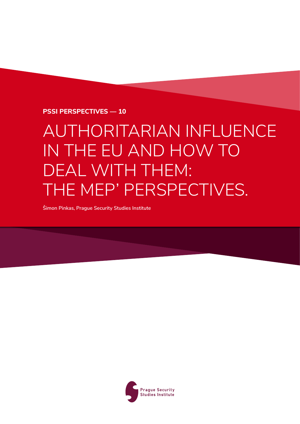**PSSI PERSPECTIVES — 10**

# AUTHORITARIAN INFLUENCE IN THE EU AND HOW TO DEAL WITH THEM: THE MEP' PERSPECTIVES.

**Šimon Pinkas, Prague Security Studies Institute**

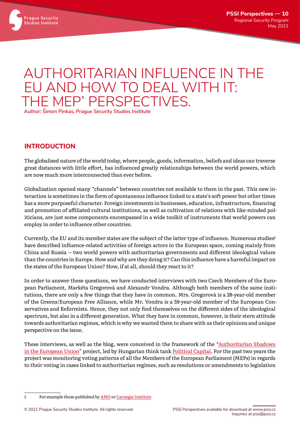

# AUTHORITARIAN INFLUENCE IN THE EU AND HOW TO DEAL WITH IT: THE MEP' PERSPECTIVES.

**Author: Šimon Pinkas, Prague Security Studies Institute**

#### **INTRODUCTION**

The globalised nature of the world today, where people, goods, information, beliefs and ideas can traverse great distances with little effort, has influenced greatly relationships between the world powers, which are now much more interconnected than ever before.

Globalization opened many "channels" between countries not available to them in the past. This new interaction is sometimes in the form of spontaneous influence linked to a state's soft power but other times has a more purposeful character. Foreign investments in businesses, education, infrastructure, financing and promotion of affiliated cultural institutions, as well as cultivation of relations with like-minded politicians, are just some components encompassed in a wide toolkit of instruments that world powers can employ in order to influence other countries.

Currently, the EU and its member states are the subject of the latter type of influence. Numerous studies**<sup>1</sup>** have described influence-related activities of foreign actors in the European space, coming mainly from China and Russia -- two world powers with authoritarian governments and different ideological values than the countries in Europe. How and why are they doing it? Can this influence have a harmful impact on the states of the European Union? How, if at all, should they react to it?

In order to answer these questions, we have conducted interviews with two Czech Members of the European Parliament, Markéta Gregorová and Alexandr Vondra. Although both members of the same institutions, there are only a few things that they have in common. Mrs. Gregorová is a 28-year-old member of the Greens/European Free Alliance, while Mr. Vondra is a 59-year-old member of the European Conservatives and Reformists. Hence, they not only find themselves on the different sides of the ideological spectrum, but also in a different generation. What they have in common, however, is their stern attitude towards authoritarian regimes, which is why we wanted them to share with us their opinions and unique perspective on the issue.

These interviews, as well as the blog, were conceived in the framework of the ["Authoritarian Shadows](https://politicalcapital.hu/authoritarian_shadows_in_the_eu/index.php)  [in the European Union](https://politicalcapital.hu/authoritarian_shadows_in_the_eu/index.php)" project, led by Hungarian think tank [Political Capital](https://www.politicalcapital.hu/index_gb.php). For the past two years the project was monitoring voting patterns of all the Members of the European Parliament (MEPs) in regards to their voting in cases linked to authoritarian regimes, such as resolutions or amendments to legislation

<sup>1</sup> For example those published by [AMO](https://www.amo.cz/cs/china-observers-in-central-and-eastern-europe-choice/empty-shell-no-more-chinas-growing-footprint-in-central-and-eastern-europe/) or [Carnegie Institute](https://carnegieendowment.org/2020/09/24/russia-and-europe-stuck-on-autopilot-pub-82773)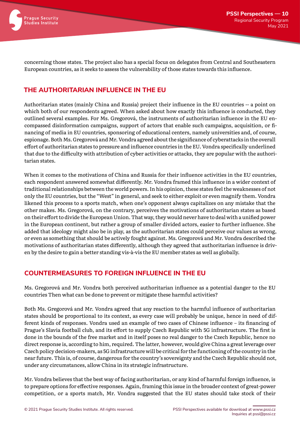

concerning those states. The project also has a special focus on delegates from Central and Southeastern European countries, as it seeks to assess the vulnerability of those states towards this influence.

## **THE AUTHORITARIAN INFLUENCE IN THE EU**

Authoritarian states (mainly China and Russia) project their influence in the EU countries -- a point on which both of our respondents agreed. When asked about how exactly this influence is conducted, they outlined several examples. For Ms. Gregorová, the instruments of authoritarian influence in the EU encompassed disinformation campaigns, support of actors that enable such campaigns, acquisition, or financing of media in EU countries, sponsoring of educational centers, namely universities and, of course, espionage. Both Ms. Gregorová and Mr. Vondra agreed about the significance of cyberattacks in the overall effort of authoritarian states to pressure and influence countries in the EU. Vondra specifically underlined that due to the difficulty with attribution of cyber activities or attacks, they are popular with the authoritarian states.

When it comes to the motivations of China and Russia for their influence activities in the EU countries, each respondent answered somewhat differently. Mr. Vondra framed this influence in a wider context of traditional relationships between the world powers. In his opinion, these states feel the weaknesses of not only the EU countries, but the "West" in general, and seek to either exploit or even magnify them. Vondra likened this process to a sports match, when one's opponent always capitalizes on any mistake that the other makes. Ms. Gregorová, on the contrary, perceives the motivations of authoritarian states as based on their effort to divide the European Union. That way, they would never have to deal with a unified power in the European continent, but rather a group of smaller divided actors, easier to further influence. She added that ideology might also be in play, as the authoritarian states could perceive our values as wrong, or even as something that should be actively fought against. Ms. Gregorová and Mr. Vondra described the motivations of authoritarian states differently, although they agreed that authoritarian influence is driven by the desire to gain a better standing vis-à-vis the EU member states as well as globally.

#### **COUNTERMEASURES TO FOREIGN INFLUENCE IN THE EU**

Ms. Gregorová and Mr. Vondra both perceived authoritarian influence as a potential danger to the EU countries Then what can be done to prevent or mitigate these harmful activities?

Both Ms. Gregorová and Mr. Vondra agreed that any reaction to the harmful influence of authoritarian states should be proportional to its context, as every case will probably be unique, hence in need of different kinds of responses. Vondra used an example of two cases of Chinese influence – its financing of Prague's Slavia football club, and its effort to supply Czech Republic with 5G infrastructure. The first is done in the bounds of the free market and in itself poses no real danger to the Czech Republic, hence no direct response is, according to him, required. The latter, however, would give China a great leverage over Czech policy decision-makers, as 5G infrastructure will be critical for the functioning of the country in the near future. This is, of course, dangerous for the country's sovereignty and the Czech Republic should not, under any circumstances, allow China in its strategic infrastructure.

Mr. Vondra believes that the best way of facing authoritarian, or any kind of harmful foreign influence, is to prepare options for effective responses. Again, framing this issue in the broader context of great-power competition, or a sports match, Mr. Vondra suggested that the EU states should take stock of their